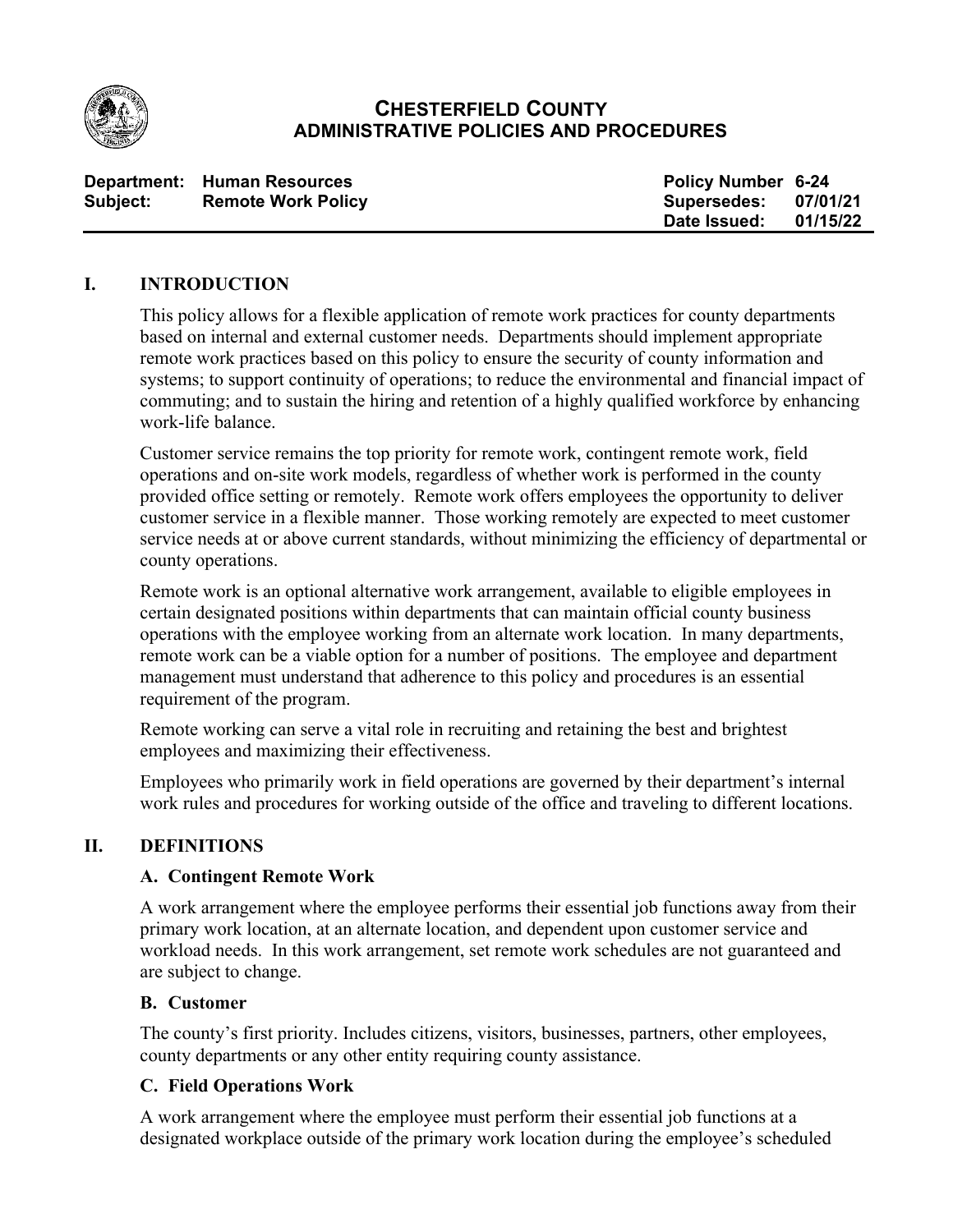

## **CHESTERFIELD COUNTY ADMINISTRATIVE POLICIES AND PROCEDURES**

|          | Department: Human Resources | <b>Policy Number 6-24</b> |          |
|----------|-----------------------------|---------------------------|----------|
| Subject: | <b>Remote Work Policy</b>   | Supersedes:               | 07/01/21 |
|          |                             | Date Issued:              | 01/15/22 |

#### **I. INTRODUCTION**

This policy allows for a flexible application of remote work practices for county departments based on internal and external customer needs. Departments should implement appropriate remote work practices based on this policy to ensure the security of county information and systems; to support continuity of operations; to reduce the environmental and financial impact of commuting; and to sustain the hiring and retention of a highly qualified workforce by enhancing work-life balance.

Customer service remains the top priority for remote work, contingent remote work, field operations and on-site work models, regardless of whether work is performed in the county provided office setting or remotely. Remote work offers employees the opportunity to deliver customer service in a flexible manner. Those working remotely are expected to meet customer service needs at or above current standards, without minimizing the efficiency of departmental or county operations.

Remote work is an optional alternative work arrangement, available to eligible employees in certain designated positions within departments that can maintain official county business operations with the employee working from an alternate work location. In many departments, remote work can be a viable option for a number of positions. The employee and department management must understand that adherence to this policy and procedures is an essential requirement of the program.

Remote working can serve a vital role in recruiting and retaining the best and brightest employees and maximizing their effectiveness.

Employees who primarily work in field operations are governed by their department's internal work rules and procedures for working outside of the office and traveling to different locations.

## **II. DEFINITIONS**

#### **A. Contingent Remote Work**

A work arrangement where the employee performs their essential job functions away from their primary work location, at an alternate location, and dependent upon customer service and workload needs. In this work arrangement, set remote work schedules are not guaranteed and are subject to change.

#### **B. Customer**

The county's first priority. Includes citizens, visitors, businesses, partners, other employees, county departments or any other entity requiring county assistance.

## **C. Field Operations Work**

A work arrangement where the employee must perform their essential job functions at a designated workplace outside of the primary work location during the employee's scheduled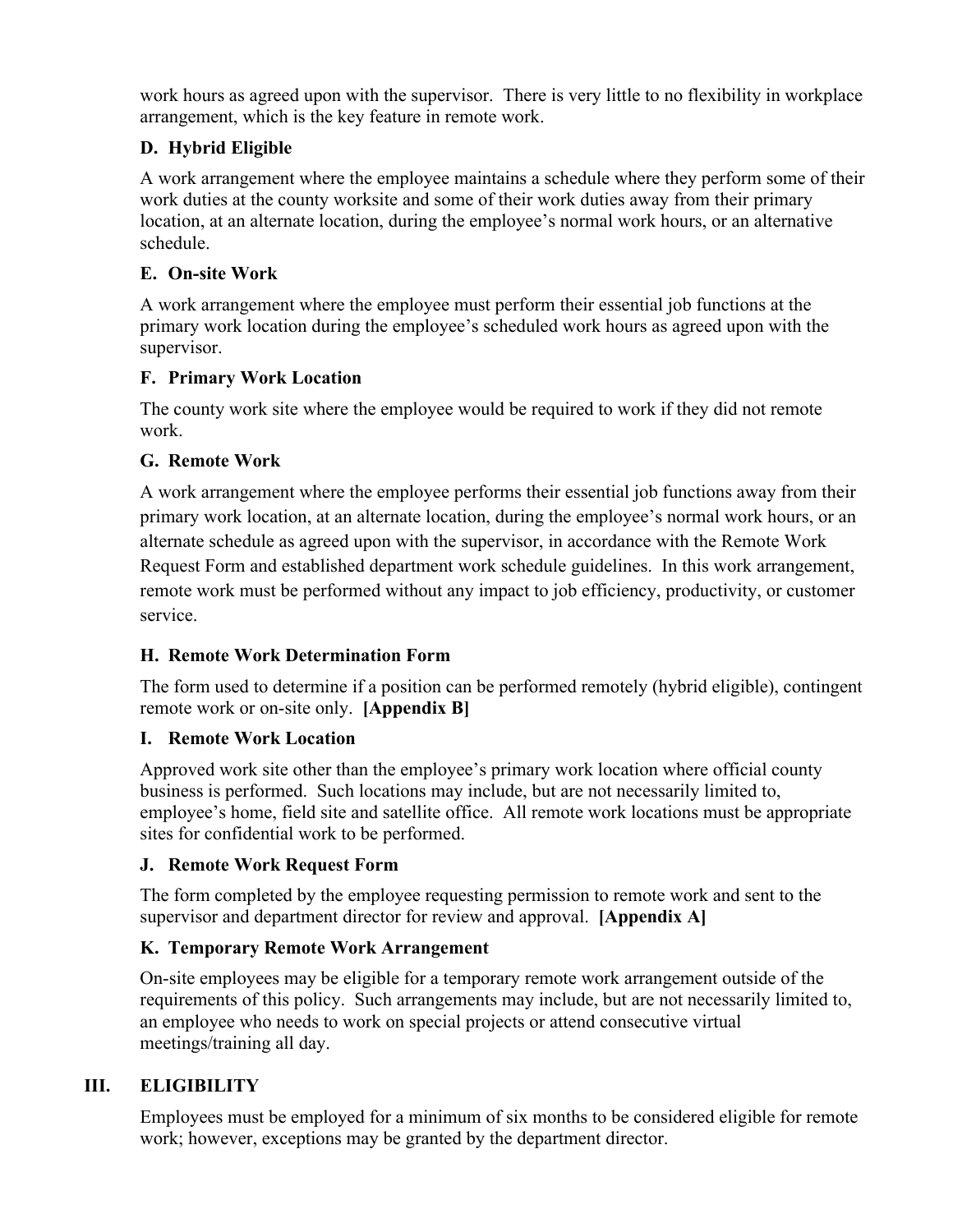work hours as agreed upon with the supervisor. There is very little to no flexibility in workplace arrangement, which is the key feature in remote work.

## **D. Hybrid Eligible**

A work arrangement where the employee maintains a schedule where they perform some of their work duties at the county worksite and some of their work duties away from their primary location, at an alternate location, during the employee's normal work hours, or an alternative schedule.

## **E. On-site Work**

A work arrangement where the employee must perform their essential job functions at the primary work location during the employee's scheduled work hours as agreed upon with the supervisor.

## **F. Primary Work Location**

The county work site where the employee would be required to work if they did not remote work.

## **G. Remote Work**

A work arrangement where the employee performs their essential job functions away from their primary work location, at an alternate location, during the employee's normal work hours, or an alternate schedule as agreed upon with the supervisor, in accordance with the Remote Work Request Form and established department work schedule guidelines. In this work arrangement, remote work must be performed without any impact to job efficiency, productivity, or customer service.

## **H. Remote Work Determination Form**

The form used to determine if a position can be performed remotely (hybrid eligible), contingent remote work or on-site only. **[Appendix B]**

## **I. Remote Work Location**

Approved work site other than the employee's primary work location where official county business is performed. Such locations may include, but are not necessarily limited to, employee's home, field site and satellite office. All remote work locations must be appropriate sites for confidential work to be performed.

## **J. Remote Work Request Form**

The form completed by the employee requesting permission to remote work and sent to the supervisor and department director for review and approval. **[Appendix A]**

## **K. Temporary Remote Work Arrangement**

On-site employees may be eligible for a temporary remote work arrangement outside of the requirements of this policy. Such arrangements may include, but are not necessarily limited to, an employee who needs to work on special projects or attend consecutive virtual meetings/training all day.

## **III. ELIGIBILITY**

Employees must be employed for a minimum of six months to be considered eligible for remote work; however, exceptions may be granted by the department director.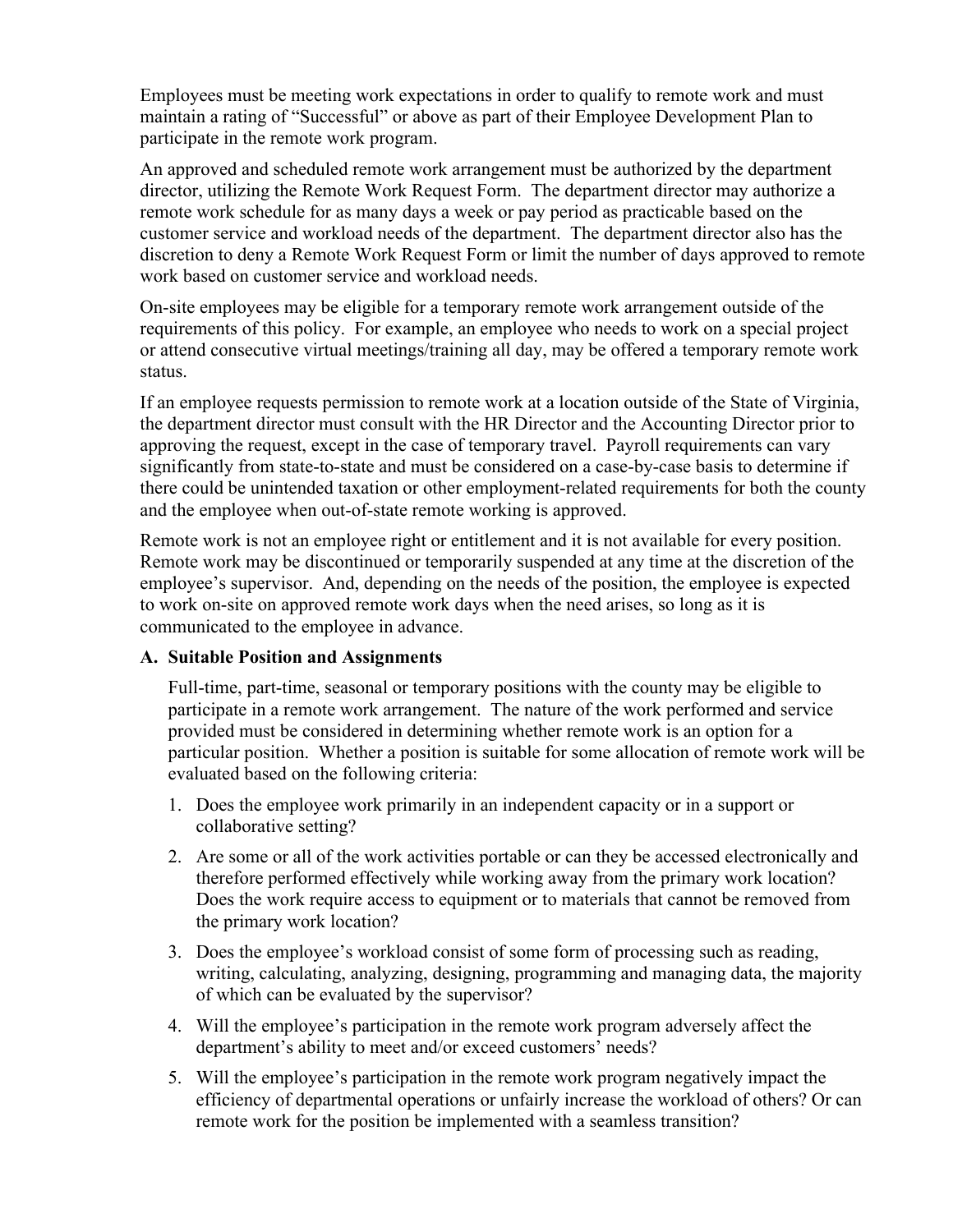Employees must be meeting work expectations in order to qualify to remote work and must maintain a rating of "Successful" or above as part of their Employee Development Plan to participate in the remote work program.

An approved and scheduled remote work arrangement must be authorized by the department director, utilizing the Remote Work Request Form. The department director may authorize a remote work schedule for as many days a week or pay period as practicable based on the customer service and workload needs of the department. The department director also has the discretion to deny a Remote Work Request Form or limit the number of days approved to remote work based on customer service and workload needs.

On-site employees may be eligible for a temporary remote work arrangement outside of the requirements of this policy. For example, an employee who needs to work on a special project or attend consecutive virtual meetings/training all day, may be offered a temporary remote work status.

If an employee requests permission to remote work at a location outside of the State of Virginia, the department director must consult with the HR Director and the Accounting Director prior to approving the request, except in the case of temporary travel. Payroll requirements can vary significantly from state-to-state and must be considered on a case-by-case basis to determine if there could be unintended taxation or other employment-related requirements for both the county and the employee when out-of-state remote working is approved.

Remote work is not an employee right or entitlement and it is not available for every position. Remote work may be discontinued or temporarily suspended at any time at the discretion of the employee's supervisor. And, depending on the needs of the position, the employee is expected to work on-site on approved remote work days when the need arises, so long as it is communicated to the employee in advance.

## **A. Suitable Position and Assignments**

Full-time, part-time, seasonal or temporary positions with the county may be eligible to participate in a remote work arrangement. The nature of the work performed and service provided must be considered in determining whether remote work is an option for a particular position. Whether a position is suitable for some allocation of remote work will be evaluated based on the following criteria:

- 1. Does the employee work primarily in an independent capacity or in a support or collaborative setting?
- 2. Are some or all of the work activities portable or can they be accessed electronically and therefore performed effectively while working away from the primary work location? Does the work require access to equipment or to materials that cannot be removed from the primary work location?
- 3. Does the employee's workload consist of some form of processing such as reading, writing, calculating, analyzing, designing, programming and managing data, the majority of which can be evaluated by the supervisor?
- 4. Will the employee's participation in the remote work program adversely affect the department's ability to meet and/or exceed customers' needs?
- 5. Will the employee's participation in the remote work program negatively impact the efficiency of departmental operations or unfairly increase the workload of others? Or can remote work for the position be implemented with a seamless transition?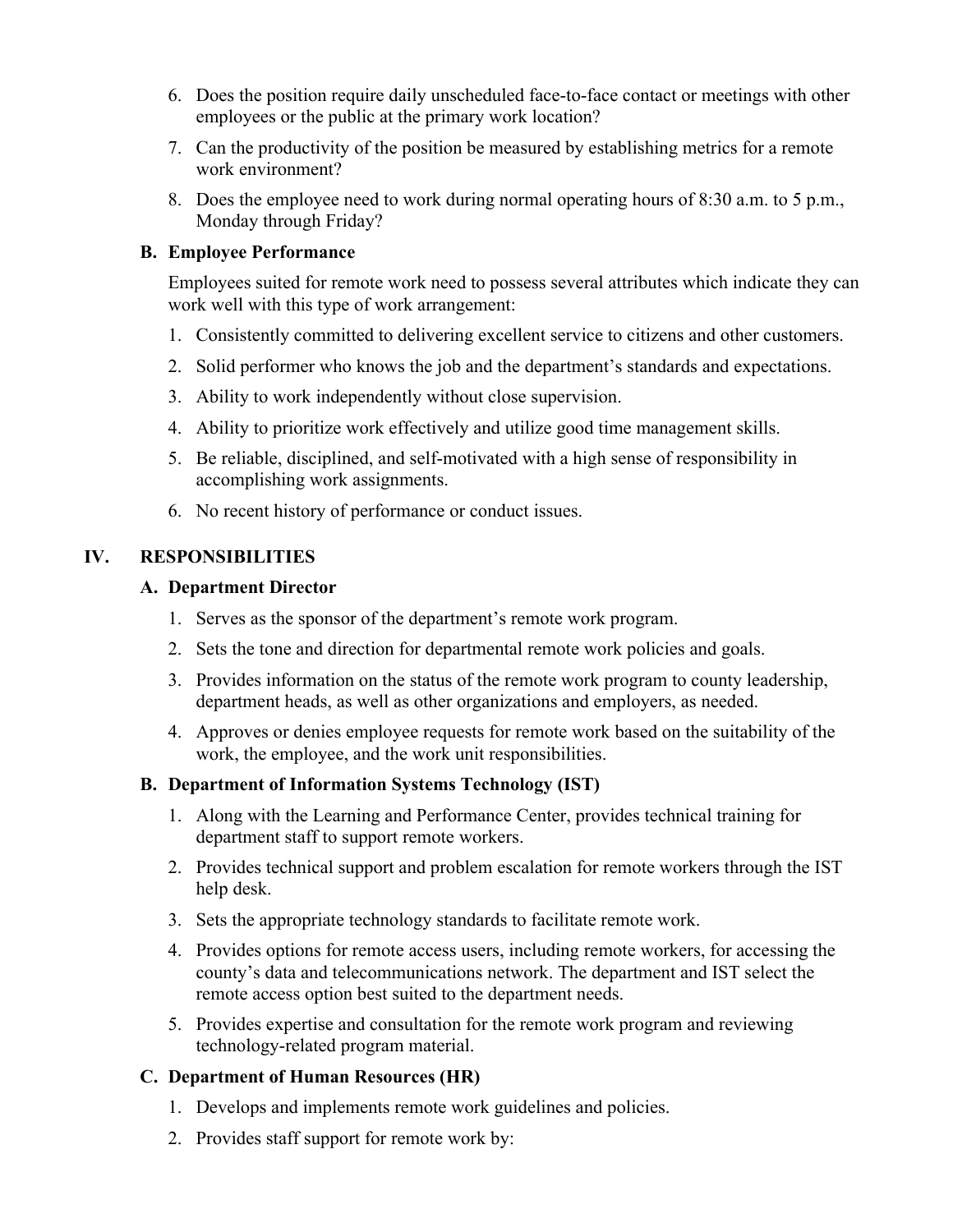- 6. Does the position require daily unscheduled face-to-face contact or meetings with other employees or the public at the primary work location?
- 7. Can the productivity of the position be measured by establishing metrics for a remote work environment?
- 8. Does the employee need to work during normal operating hours of 8:30 a.m. to 5 p.m., Monday through Friday?

#### **B. Employee Performance**

Employees suited for remote work need to possess several attributes which indicate they can work well with this type of work arrangement:

- 1. Consistently committed to delivering excellent service to citizens and other customers.
- 2. Solid performer who knows the job and the department's standards and expectations.
- 3. Ability to work independently without close supervision.
- 4. Ability to prioritize work effectively and utilize good time management skills.
- 5. Be reliable, disciplined, and self-motivated with a high sense of responsibility in accomplishing work assignments.
- 6. No recent history of performance or conduct issues.

## **IV. RESPONSIBILITIES**

#### **A. Department Director**

- 1. Serves as the sponsor of the department's remote work program.
- 2. Sets the tone and direction for departmental remote work policies and goals.
- 3. Provides information on the status of the remote work program to county leadership, department heads, as well as other organizations and employers, as needed.
- 4. Approves or denies employee requests for remote work based on the suitability of the work, the employee, and the work unit responsibilities.

## **B. Department of Information Systems Technology (IST)**

- 1. Along with the Learning and Performance Center, provides technical training for department staff to support remote workers.
- 2. Provides technical support and problem escalation for remote workers through the IST help desk.
- 3. Sets the appropriate technology standards to facilitate remote work.
- 4. Provides options for remote access users, including remote workers, for accessing the county's data and telecommunications network. The department and IST select the remote access option best suited to the department needs.
- 5. Provides expertise and consultation for the remote work program and reviewing technology-related program material.

## **C. Department of Human Resources (HR)**

- 1. Develops and implements remote work guidelines and policies.
- 2. Provides staff support for remote work by: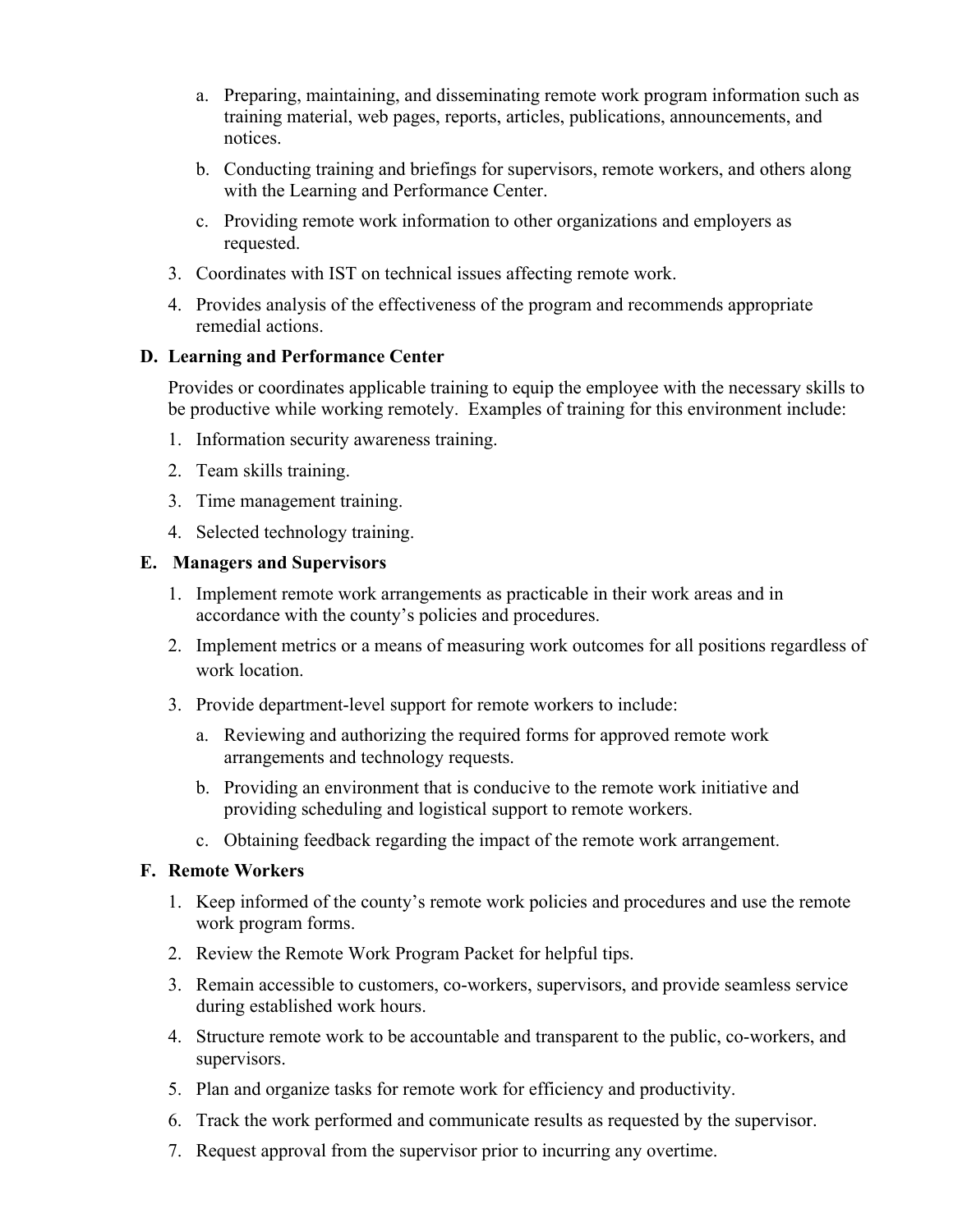- a. Preparing, maintaining, and disseminating remote work program information such as training material, web pages, reports, articles, publications, announcements, and notices.
- b. Conducting training and briefings for supervisors, remote workers, and others along with the Learning and Performance Center.
- c. Providing remote work information to other organizations and employers as requested.
- 3. Coordinates with IST on technical issues affecting remote work.
- 4. Provides analysis of the effectiveness of the program and recommends appropriate remedial actions.

#### **D. Learning and Performance Center**

Provides or coordinates applicable training to equip the employee with the necessary skills to be productive while working remotely. Examples of training for this environment include:

- 1. Information security awareness training.
- 2. Team skills training.
- 3. Time management training.
- 4. Selected technology training.

#### **E. Managers and Supervisors**

- 1. Implement remote work arrangements as practicable in their work areas and in accordance with the county's policies and procedures.
- 2. Implement metrics or a means of measuring work outcomes for all positions regardless of work location.
- 3. Provide department-level support for remote workers to include:
	- a. Reviewing and authorizing the required forms for approved remote work arrangements and technology requests.
	- b. Providing an environment that is conducive to the remote work initiative and providing scheduling and logistical support to remote workers.
	- c. Obtaining feedback regarding the impact of the remote work arrangement.

#### **F. Remote Workers**

- 1. Keep informed of the county's remote work policies and procedures and use the remote work program forms.
- 2. Review the Remote Work Program Packet for helpful tips.
- 3. Remain accessible to customers, co-workers, supervisors, and provide seamless service during established work hours.
- 4. Structure remote work to be accountable and transparent to the public, co-workers, and supervisors.
- 5. Plan and organize tasks for remote work for efficiency and productivity.
- 6. Track the work performed and communicate results as requested by the supervisor.
- 7. Request approval from the supervisor prior to incurring any overtime.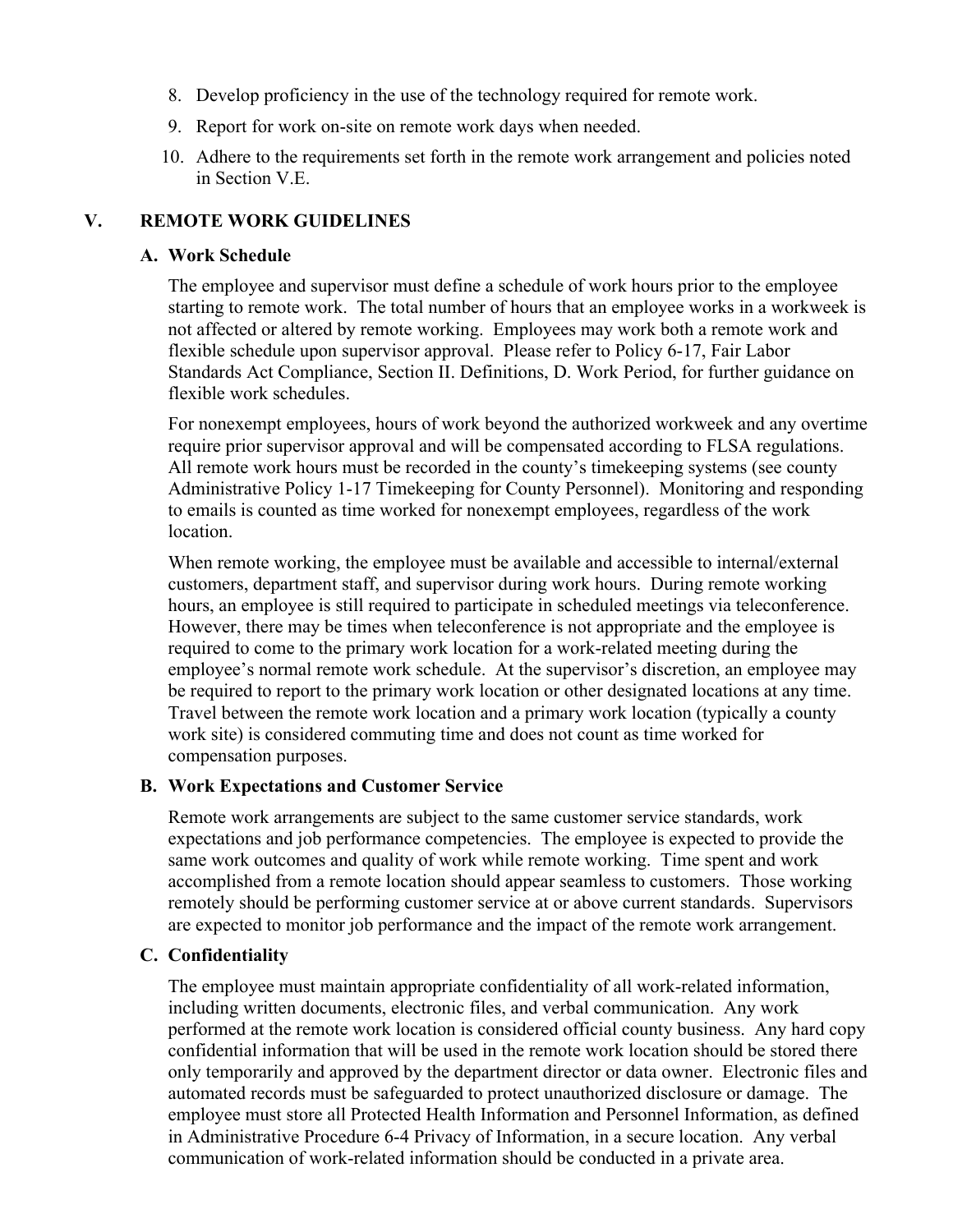- 8. Develop proficiency in the use of the technology required for remote work.
- 9. Report for work on-site on remote work days when needed.
- 10. Adhere to the requirements set forth in the remote work arrangement and policies noted in Section V.E.

#### **V. REMOTE WORK GUIDELINES**

#### **A. Work Schedule**

The employee and supervisor must define a schedule of work hours prior to the employee starting to remote work. The total number of hours that an employee works in a workweek is not affected or altered by remote working. Employees may work both a remote work and flexible schedule upon supervisor approval. Please refer to Policy 6-17, Fair Labor Standards Act Compliance, Section II. Definitions, D. Work Period, for further guidance on flexible work schedules.

For nonexempt employees, hours of work beyond the authorized workweek and any overtime require prior supervisor approval and will be compensated according to FLSA regulations. All remote work hours must be recorded in the county's timekeeping systems (see county Administrative Policy 1-17 Timekeeping for County Personnel). Monitoring and responding to emails is counted as time worked for nonexempt employees, regardless of the work location.

When remote working, the employee must be available and accessible to internal/external customers, department staff, and supervisor during work hours. During remote working hours, an employee is still required to participate in scheduled meetings via teleconference. However, there may be times when teleconference is not appropriate and the employee is required to come to the primary work location for a work-related meeting during the employee's normal remote work schedule. At the supervisor's discretion, an employee may be required to report to the primary work location or other designated locations at any time. Travel between the remote work location and a primary work location (typically a county work site) is considered commuting time and does not count as time worked for compensation purposes.

#### **B. Work Expectations and Customer Service**

Remote work arrangements are subject to the same customer service standards, work expectations and job performance competencies. The employee is expected to provide the same work outcomes and quality of work while remote working. Time spent and work accomplished from a remote location should appear seamless to customers. Those working remotely should be performing customer service at or above current standards. Supervisors are expected to monitor job performance and the impact of the remote work arrangement.

#### **C. Confidentiality**

The employee must maintain appropriate confidentiality of all work-related information, including written documents, electronic files, and verbal communication. Any work performed at the remote work location is considered official county business. Any hard copy confidential information that will be used in the remote work location should be stored there only temporarily and approved by the department director or data owner. Electronic files and automated records must be safeguarded to protect unauthorized disclosure or damage. The employee must store all Protected Health Information and Personnel Information, as defined in Administrative Procedure 6-4 Privacy of Information, in a secure location. Any verbal communication of work-related information should be conducted in a private area.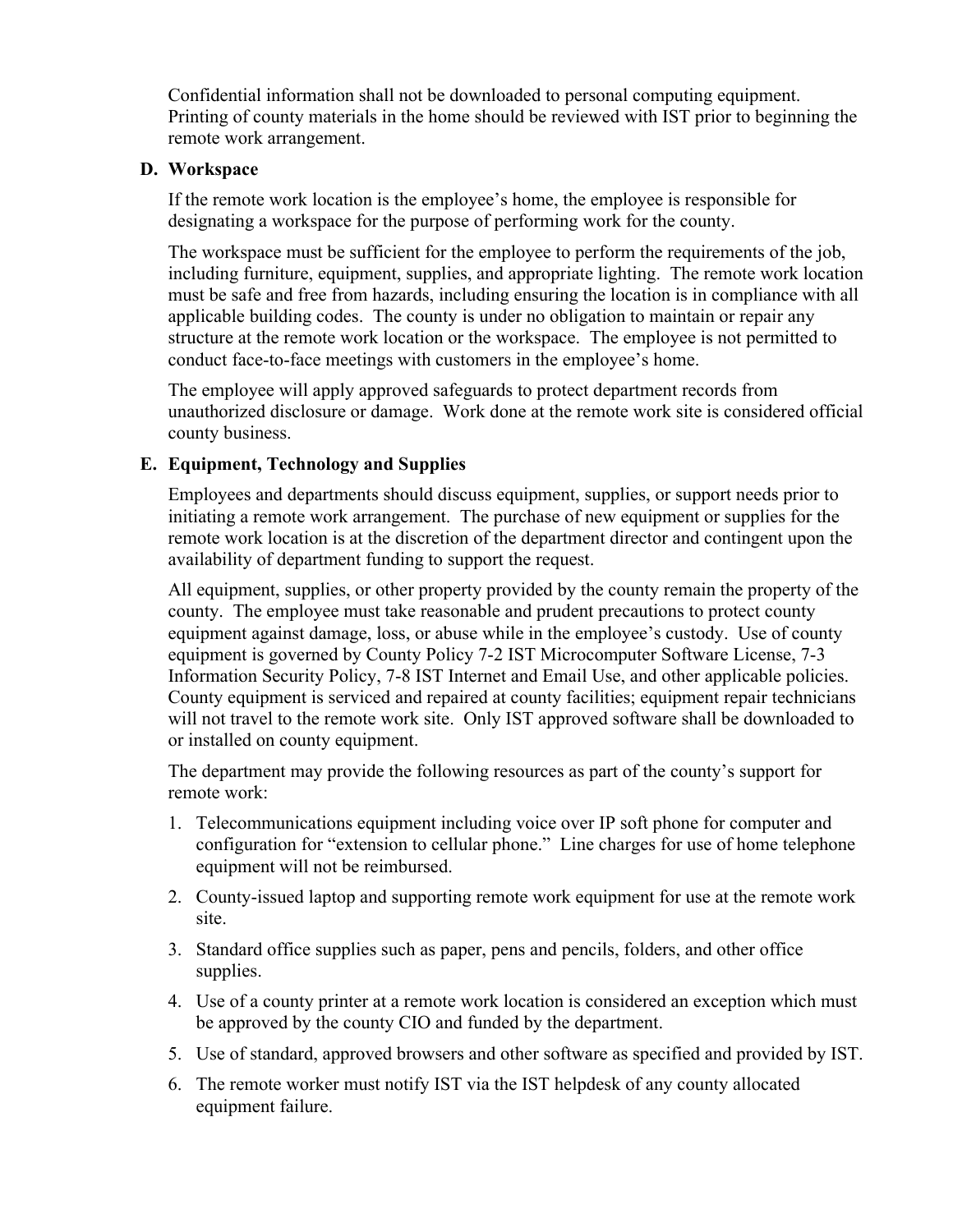Confidential information shall not be downloaded to personal computing equipment. Printing of county materials in the home should be reviewed with IST prior to beginning the remote work arrangement.

#### **D. Workspace**

If the remote work location is the employee's home, the employee is responsible for designating a workspace for the purpose of performing work for the county.

The workspace must be sufficient for the employee to perform the requirements of the job, including furniture, equipment, supplies, and appropriate lighting. The remote work location must be safe and free from hazards, including ensuring the location is in compliance with all applicable building codes. The county is under no obligation to maintain or repair any structure at the remote work location or the workspace. The employee is not permitted to conduct face-to-face meetings with customers in the employee's home.

The employee will apply approved safeguards to protect department records from unauthorized disclosure or damage. Work done at the remote work site is considered official county business.

#### **E. Equipment, Technology and Supplies**

Employees and departments should discuss equipment, supplies, or support needs prior to initiating a remote work arrangement. The purchase of new equipment or supplies for the remote work location is at the discretion of the department director and contingent upon the availability of department funding to support the request.

All equipment, supplies, or other property provided by the county remain the property of the county. The employee must take reasonable and prudent precautions to protect county equipment against damage, loss, or abuse while in the employee's custody. Use of county equipment is governed by County Policy 7-2 IST Microcomputer Software License, 7-3 Information Security Policy, 7-8 IST Internet and Email Use, and other applicable policies. County equipment is serviced and repaired at county facilities; equipment repair technicians will not travel to the remote work site. Only IST approved software shall be downloaded to or installed on county equipment.

The department may provide the following resources as part of the county's support for remote work:

- 1. Telecommunications equipment including voice over IP soft phone for computer and configuration for "extension to cellular phone." Line charges for use of home telephone equipment will not be reimbursed.
- 2. County-issued laptop and supporting remote work equipment for use at the remote work site.
- 3. Standard office supplies such as paper, pens and pencils, folders, and other office supplies.
- 4. Use of a county printer at a remote work location is considered an exception which must be approved by the county CIO and funded by the department.
- 5. Use of standard, approved browsers and other software as specified and provided by IST.
- 6. The remote worker must notify IST via the IST helpdesk of any county allocated equipment failure.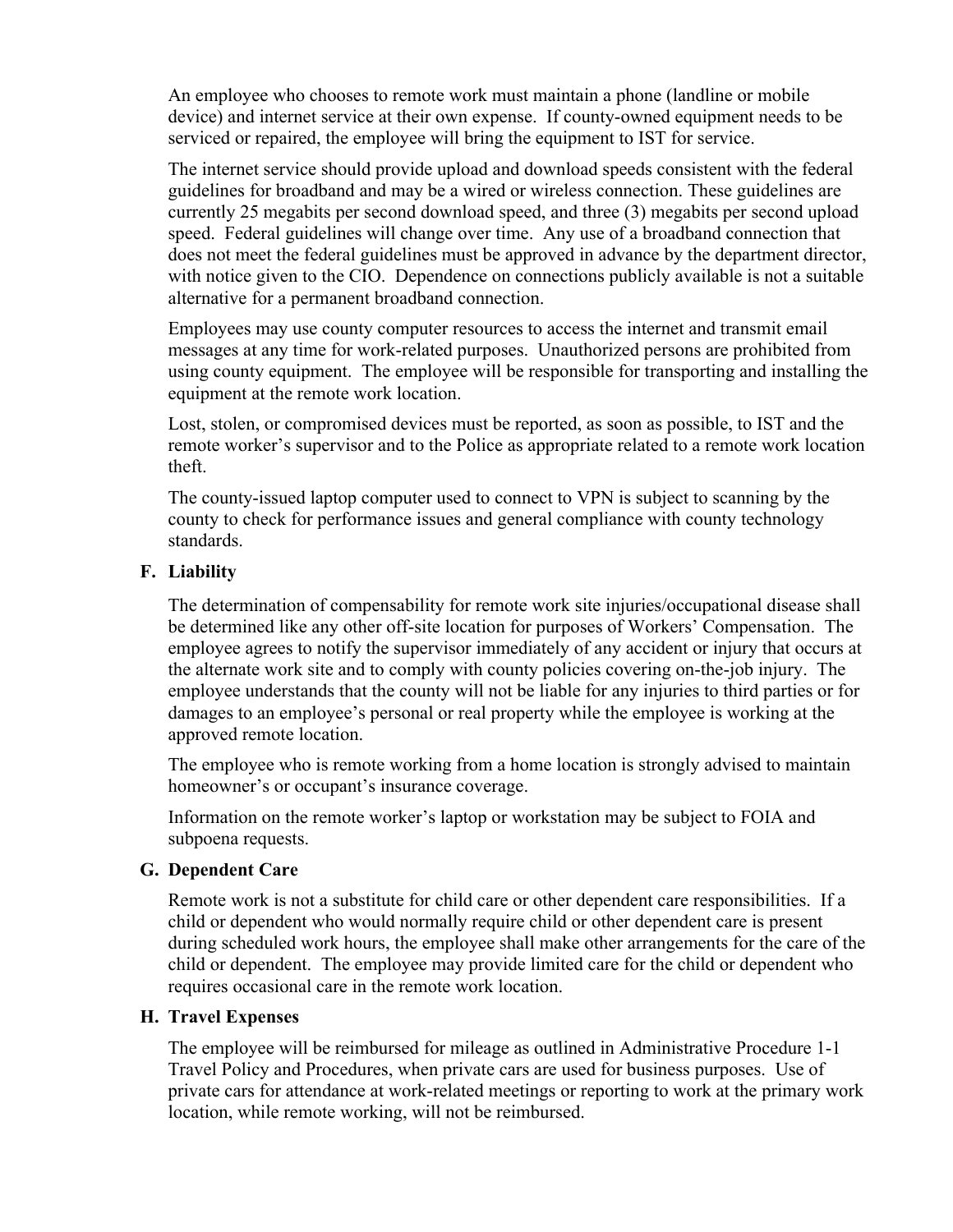An employee who chooses to remote work must maintain a phone (landline or mobile device) and internet service at their own expense. If county-owned equipment needs to be serviced or repaired, the employee will bring the equipment to IST for service.

The internet service should provide upload and download speeds consistent with the federal guidelines for broadband and may be a wired or wireless connection. These guidelines are currently 25 megabits per second download speed, and three (3) megabits per second upload speed. Federal guidelines will change over time. Any use of a broadband connection that does not meet the federal guidelines must be approved in advance by the department director, with notice given to the CIO. Dependence on connections publicly available is not a suitable alternative for a permanent broadband connection.

Employees may use county computer resources to access the internet and transmit email messages at any time for work-related purposes. Unauthorized persons are prohibited from using county equipment. The employee will be responsible for transporting and installing the equipment at the remote work location.

Lost, stolen, or compromised devices must be reported, as soon as possible, to IST and the remote worker's supervisor and to the Police as appropriate related to a remote work location theft.

The county-issued laptop computer used to connect to VPN is subject to scanning by the county to check for performance issues and general compliance with county technology standards.

#### **F. Liability**

The determination of compensability for remote work site injuries/occupational disease shall be determined like any other off-site location for purposes of Workers' Compensation. The employee agrees to notify the supervisor immediately of any accident or injury that occurs at the alternate work site and to comply with county policies covering on-the-job injury. The employee understands that the county will not be liable for any injuries to third parties or for damages to an employee's personal or real property while the employee is working at the approved remote location.

The employee who is remote working from a home location is strongly advised to maintain homeowner's or occupant's insurance coverage.

Information on the remote worker's laptop or workstation may be subject to FOIA and subpoena requests.

#### **G. Dependent Care**

Remote work is not a substitute for child care or other dependent care responsibilities. If a child or dependent who would normally require child or other dependent care is present during scheduled work hours, the employee shall make other arrangements for the care of the child or dependent. The employee may provide limited care for the child or dependent who requires occasional care in the remote work location.

#### **H. Travel Expenses**

The employee will be reimbursed for mileage as outlined in Administrative Procedure 1-1 Travel Policy and Procedures, when private cars are used for business purposes. Use of private cars for attendance at work-related meetings or reporting to work at the primary work location, while remote working, will not be reimbursed.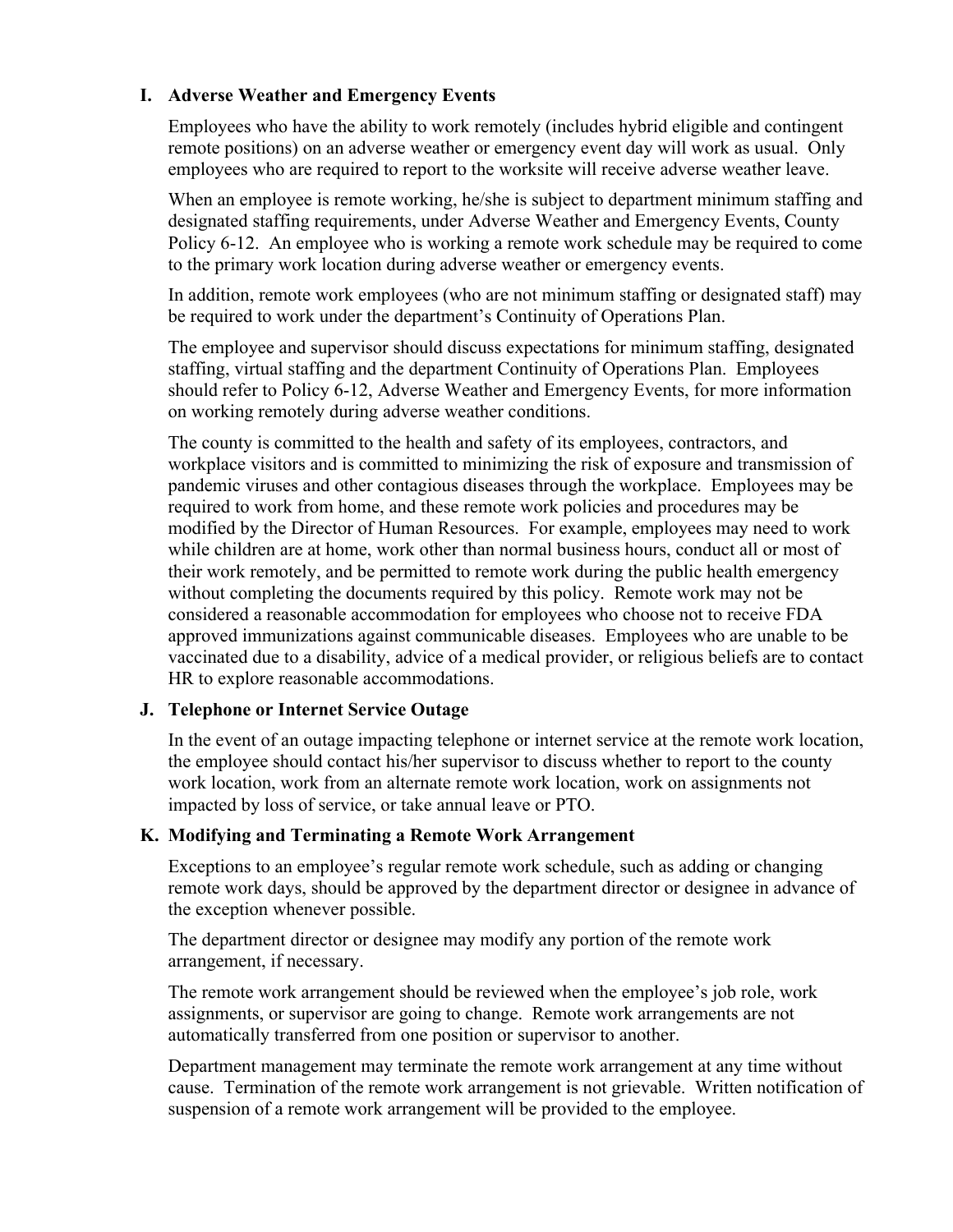## **I. Adverse Weather and Emergency Events**

Employees who have the ability to work remotely (includes hybrid eligible and contingent remote positions) on an adverse weather or emergency event day will work as usual. Only employees who are required to report to the worksite will receive adverse weather leave.

When an employee is remote working, he/she is subject to department minimum staffing and designated staffing requirements, under Adverse Weather and Emergency Events, County Policy 6-12. An employee who is working a remote work schedule may be required to come to the primary work location during adverse weather or emergency events.

In addition, remote work employees (who are not minimum staffing or designated staff) may be required to work under the department's Continuity of Operations Plan.

The employee and supervisor should discuss expectations for minimum staffing, designated staffing, virtual staffing and the department Continuity of Operations Plan. Employees should refer to Policy 6-12, Adverse Weather and Emergency Events, for more information on working remotely during adverse weather conditions.

The county is committed to the health and safety of its employees, contractors, and workplace visitors and is committed to minimizing the risk of exposure and transmission of pandemic viruses and other contagious diseases through the workplace. Employees may be required to work from home, and these remote work policies and procedures may be modified by the Director of Human Resources. For example, employees may need to work while children are at home, work other than normal business hours, conduct all or most of their work remotely, and be permitted to remote work during the public health emergency without completing the documents required by this policy. Remote work may not be considered a reasonable accommodation for employees who choose not to receive FDA approved immunizations against communicable diseases. Employees who are unable to be vaccinated due to a disability, advice of a medical provider, or religious beliefs are to contact HR to explore reasonable accommodations.

## **J. Telephone or Internet Service Outage**

In the event of an outage impacting telephone or internet service at the remote work location, the employee should contact his/her supervisor to discuss whether to report to the county work location, work from an alternate remote work location, work on assignments not impacted by loss of service, or take annual leave or PTO.

#### **K. Modifying and Terminating a Remote Work Arrangement**

Exceptions to an employee's regular remote work schedule, such as adding or changing remote work days, should be approved by the department director or designee in advance of the exception whenever possible.

The department director or designee may modify any portion of the remote work arrangement, if necessary.

The remote work arrangement should be reviewed when the employee's job role, work assignments, or supervisor are going to change. Remote work arrangements are not automatically transferred from one position or supervisor to another.

Department management may terminate the remote work arrangement at any time without cause. Termination of the remote work arrangement is not grievable. Written notification of suspension of a remote work arrangement will be provided to the employee.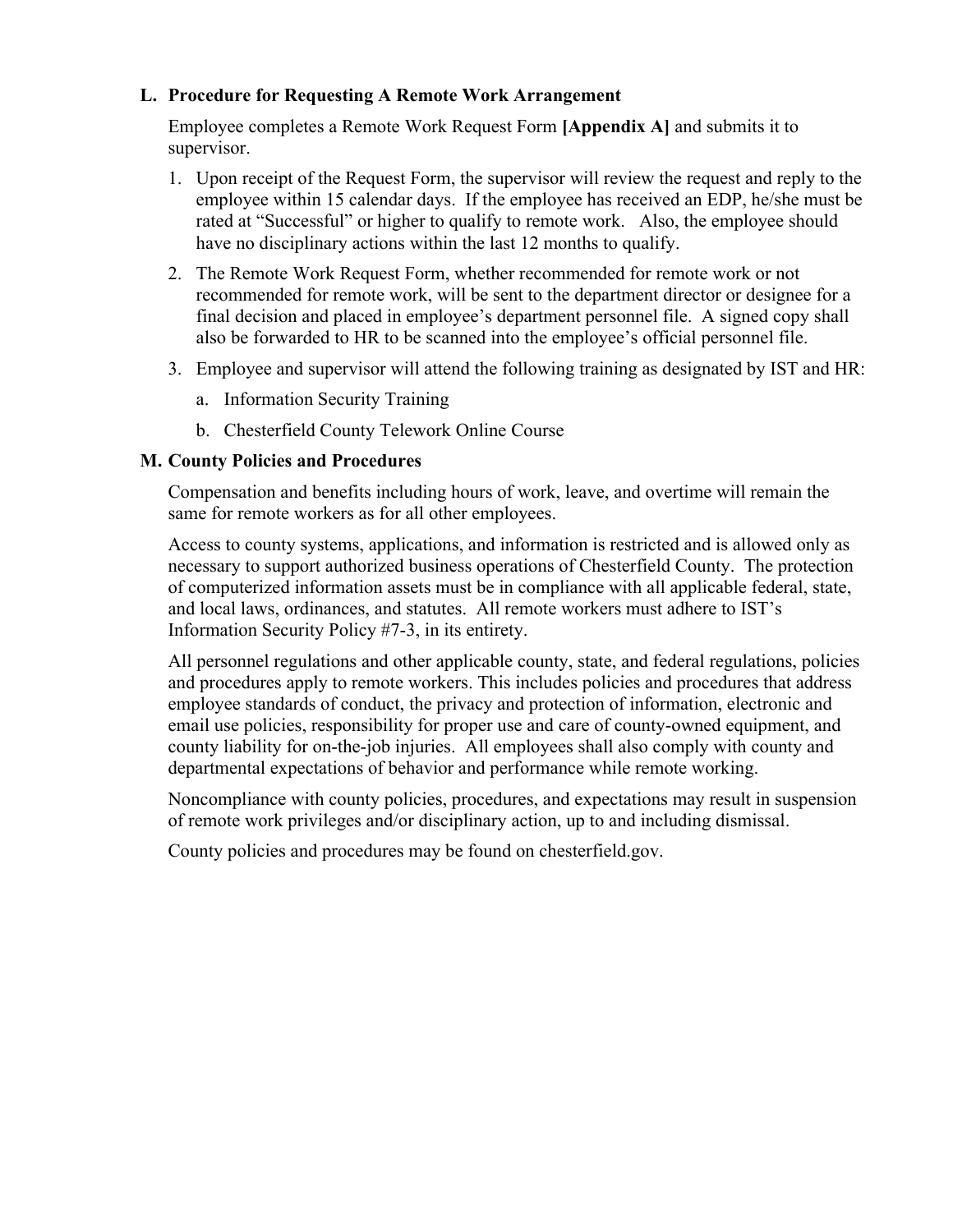## **L. Procedure for Requesting A Remote Work Arrangement**

Employee completes a Remote Work Request Form **[Appendix A]** and submits it to supervisor.

- 1. Upon receipt of the Request Form, the supervisor will review the request and reply to the employee within 15 calendar days. If the employee has received an EDP, he/she must be rated at "Successful" or higher to qualify to remote work. Also, the employee should have no disciplinary actions within the last 12 months to qualify.
- 2. The Remote Work Request Form, whether recommended for remote work or not recommended for remote work, will be sent to the department director or designee for a final decision and placed in employee's department personnel file. A signed copy shall also be forwarded to HR to be scanned into the employee's official personnel file.
- 3. Employee and supervisor will attend the following training as designated by IST and HR:
	- a. Information Security Training
	- b. Chesterfield County Telework Online Course

## **M. County Policies and Procedures**

Compensation and benefits including hours of work, leave, and overtime will remain the same for remote workers as for all other employees.

Access to county systems, applications, and information is restricted and is allowed only as necessary to support authorized business operations of Chesterfield County. The protection of computerized information assets must be in compliance with all applicable federal, state, and local laws, ordinances, and statutes. All remote workers must adhere to IST's Information Security Policy #7-3, in its entirety.

All personnel regulations and other applicable county, state, and federal regulations, policies and procedures apply to remote workers. This includes policies and procedures that address employee standards of conduct, the privacy and protection of information, electronic and email use policies, responsibility for proper use and care of county-owned equipment, and county liability for on-the-job injuries. All employees shall also comply with county and departmental expectations of behavior and performance while remote working.

Noncompliance with county policies, procedures, and expectations may result in suspension of remote work privileges and/or disciplinary action, up to and including dismissal.

County policies and procedures may be found on chesterfield.gov.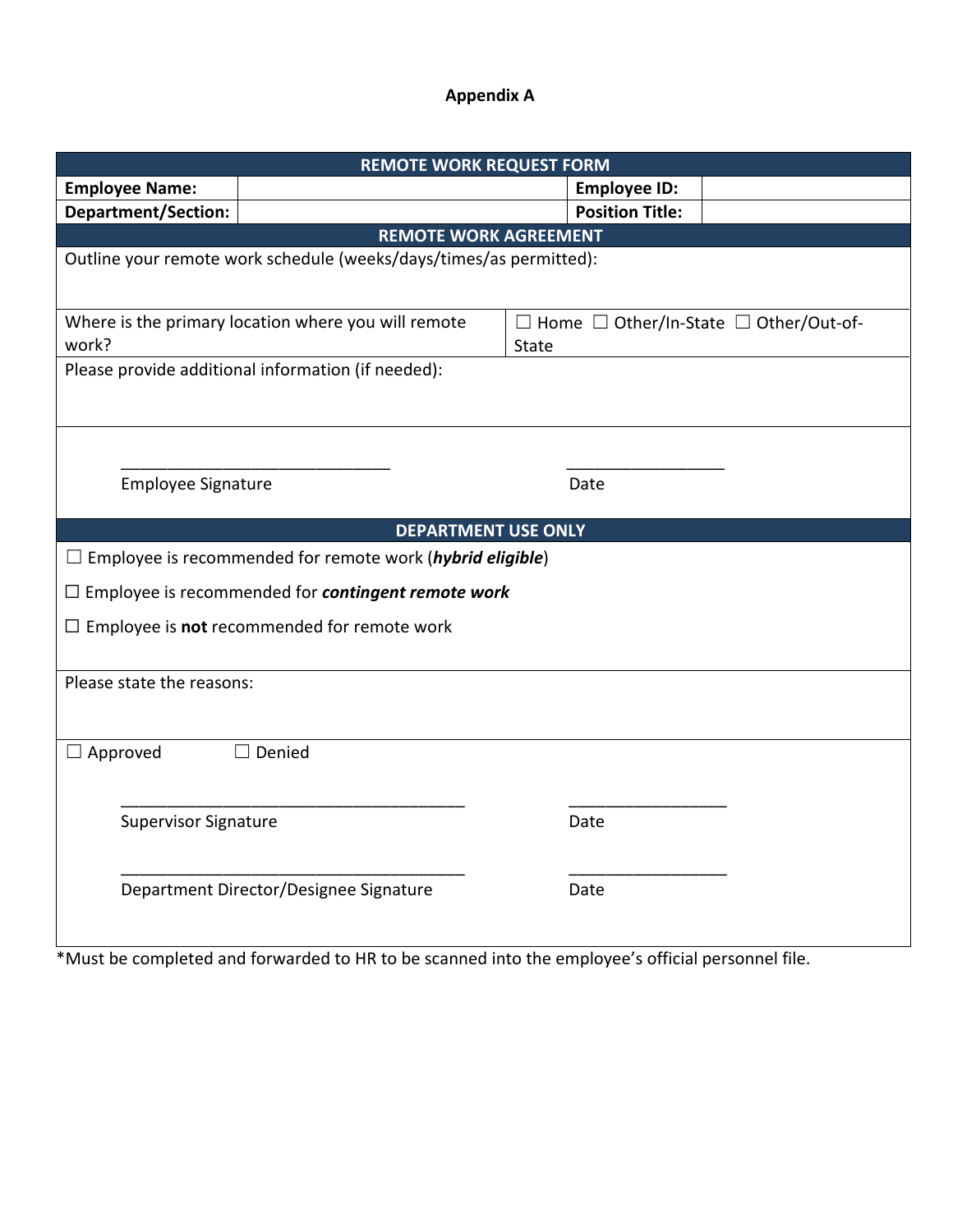## **Appendix A**

| <b>REMOTE WORK REQUEST FORM</b>                                    |                                                                           |       |                        |                                                        |  |  |
|--------------------------------------------------------------------|---------------------------------------------------------------------------|-------|------------------------|--------------------------------------------------------|--|--|
| <b>Employee Name:</b>                                              |                                                                           |       | <b>Employee ID:</b>    |                                                        |  |  |
| <b>Department/Section:</b>                                         |                                                                           |       | <b>Position Title:</b> |                                                        |  |  |
| <b>REMOTE WORK AGREEMENT</b>                                       |                                                                           |       |                        |                                                        |  |  |
| Outline your remote work schedule (weeks/days/times/as permitted): |                                                                           |       |                        |                                                        |  |  |
| work?                                                              | Where is the primary location where you will remote                       | State |                        | $\Box$ Home $\Box$ Other/In-State $\Box$ Other/Out-of- |  |  |
| Please provide additional information (if needed):                 |                                                                           |       |                        |                                                        |  |  |
| <b>Employee Signature</b>                                          |                                                                           |       | Date                   |                                                        |  |  |
| <b>DEPARTMENT USE ONLY</b>                                         |                                                                           |       |                        |                                                        |  |  |
|                                                                    | $\Box$ Employee is recommended for remote work ( <i>hybrid eligible</i> ) |       |                        |                                                        |  |  |
|                                                                    | $\Box$ Employee is recommended for <b>contingent remote work</b>          |       |                        |                                                        |  |  |
| $\Box$ Employee is not recommended for remote work                 |                                                                           |       |                        |                                                        |  |  |
| Please state the reasons:                                          |                                                                           |       |                        |                                                        |  |  |
| $\Box$ Approved                                                    | $\Box$ Denied                                                             |       |                        |                                                        |  |  |
| <b>Supervisor Signature</b>                                        |                                                                           |       | Date                   |                                                        |  |  |
|                                                                    | Department Director/Designee Signature                                    |       | Date                   |                                                        |  |  |

\*Must be completed and forwarded to HR to be scanned into the employee's official personnel file.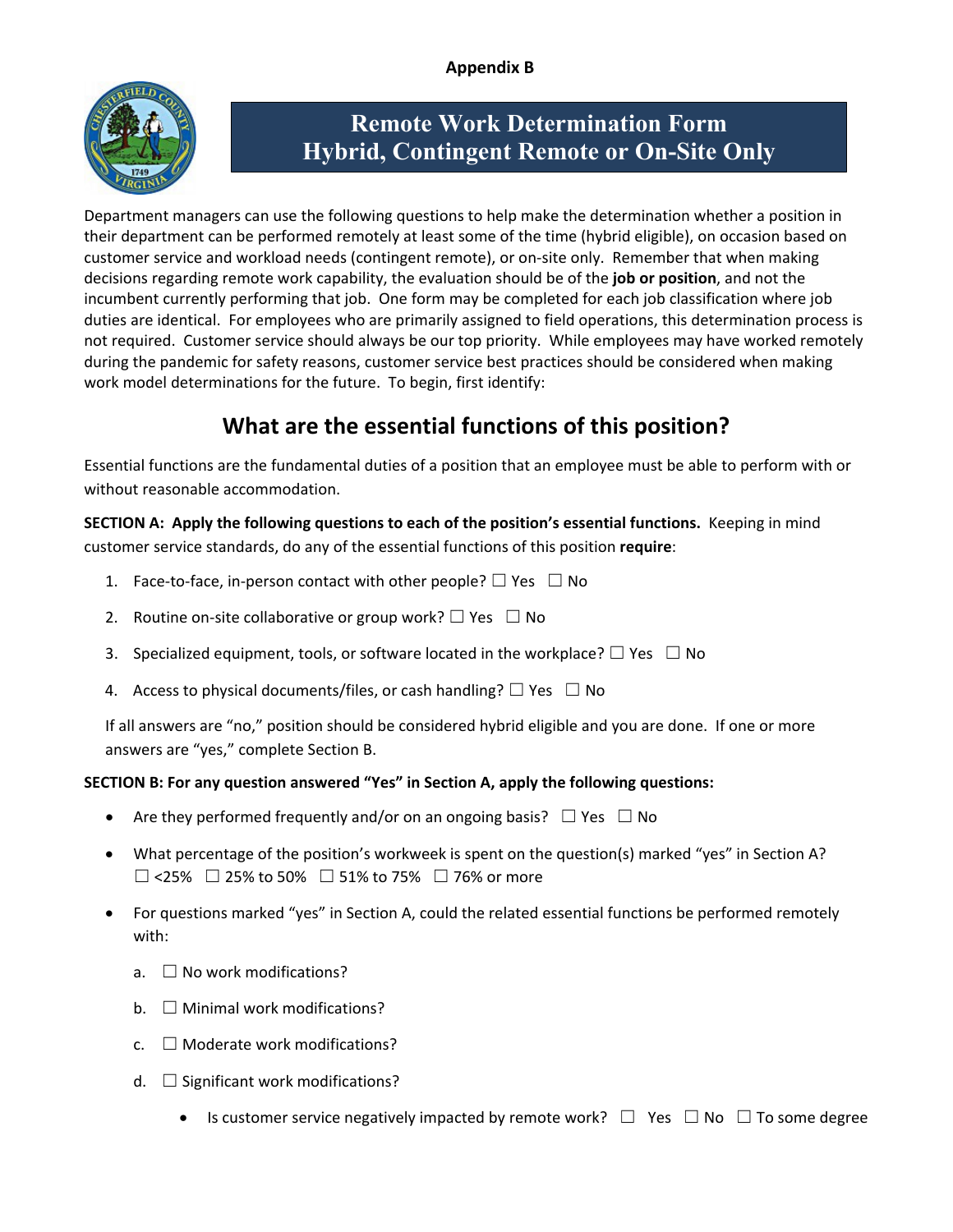

# **Remote Work Determination Form Hybrid, Contingent Remote or On-Site Only**

Department managers can use the following questions to help make the determination whether a position in their department can be performed remotely at least some of the time (hybrid eligible), on occasion based on customer service and workload needs (contingent remote), or on-site only. Remember that when making decisions regarding remote work capability, the evaluation should be of the **job or position**, and not the incumbent currently performing that job. One form may be completed for each job classification where job duties are identical. For employees who are primarily assigned to field operations, this determination process is not required. Customer service should always be our top priority. While employees may have worked remotely during the pandemic for safety reasons, customer service best practices should be considered when making work model determinations for the future. To begin, first identify:

# **What are the essential functions of this position?**

Essential functions are the fundamental duties of a position that an employee must be able to perform with or without reasonable accommodation.

**SECTION A: Apply the following questions to each of the position's essential functions.** Keeping in mind customer service standards, do any of the essential functions of this position **require**:

- 1. Face-to-face, in-person contact with other people?  $\Box$  Yes  $\Box$  No
- 2. Routine on-site collaborative or group work?  $\Box$  Yes  $\Box$  No
- 3. Specialized equipment, tools, or software located in the workplace?  $\Box$  Yes  $\Box$  No
- 4. Access to physical documents/files, or cash handling?  $\Box$  Yes  $\Box$  No

If all answers are "no," position should be considered hybrid eligible and you are done. If one or more answers are "yes," complete Section B.

## **SECTION B: For any question answered "Yes" in Section A, apply the following questions:**

- Are they performed frequently and/or on an ongoing basis?  $\Box$  Yes  $\Box$  No
- What percentage of the position's workweek is spent on the question(s) marked "yes" in Section A?  $□ <$  <25%  $□$  25% to 50%  $□$  51% to 75%  $□$  76% or more
- For questions marked "yes" in Section A, could the related essential functions be performed remotely with:
	- a.  $\Box$  No work modifications?
	- $b. \Box$  Minimal work modifications?
	- $c. \Box$  Moderate work modifications?
	- d.  $\Box$  Significant work modifications?
		- Is customer service negatively impacted by remote work?  $\Box$  Yes  $\Box$  No  $\Box$  To some degree